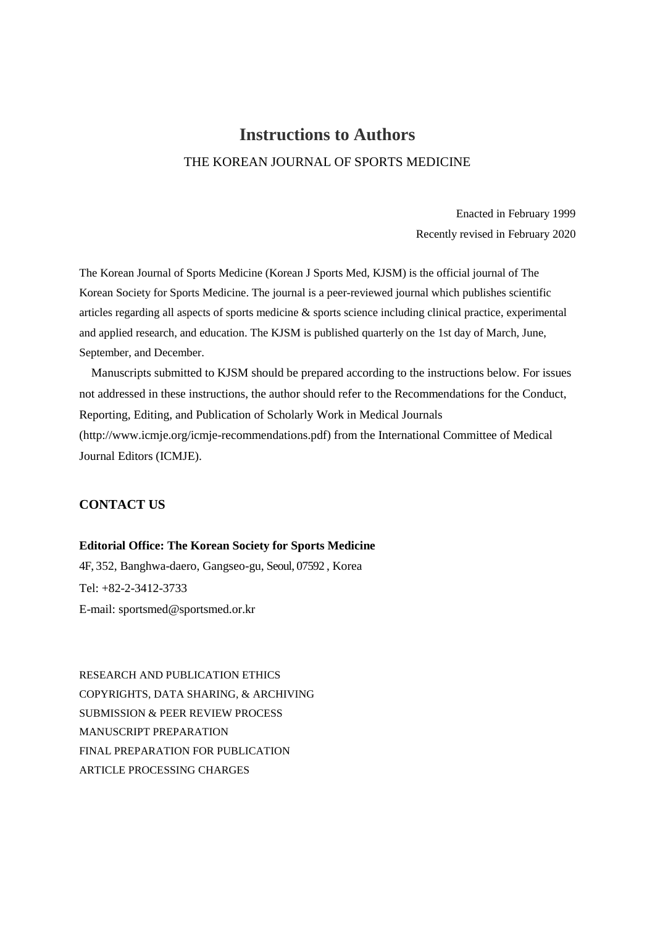# **Instructions to Authors** THE KOREAN JOURNAL OF SPORTS MEDICINE

Enacted in February 1999 Recently revised in February 2020

The Korean Journal of Sports Medicine (Korean J Sports Med, KJSM) is the official journal of The Korean Society for Sports Medicine. The journal is a peer-reviewed journal which publishes scientific articles regarding all aspects of sports medicine & sports science including clinical practice, experimental and applied research, and education. The KJSM is published quarterly on the 1st day of March, June, September, and December.

Manuscripts submitted to KJSM should be prepared according to the instructions below. For issues not addressed in these instructions, the author should refer to the Recommendations for the Conduct, Reporting, Editing, and Publication of Scholarly Work in Medical Journals (http://www.icmje.org/icmje-recommendations.pdf) from the International Committee of Medical Journal Editors (ICMJE).

# **CONTACT US**

## **Editorial Office: The Korean Society for Sports Medicine**

4F, 352, Banghwa-daero, Gangseo-gu, Seoul, 07592 , Korea Tel: +82-2-3412-3733 E-mail: sportsmed@sportsmed.or.kr

RESEARCH AND PUBLICATION ETHICS COPYRIGHTS, DATA SHARING, & ARCHIVING SUBMISSION & PEER REVIEW PROCESS MANUSCRIPT PREPARATION FINAL PREPARATION FOR PUBLICATION ARTICLE PROCESSING CHARGES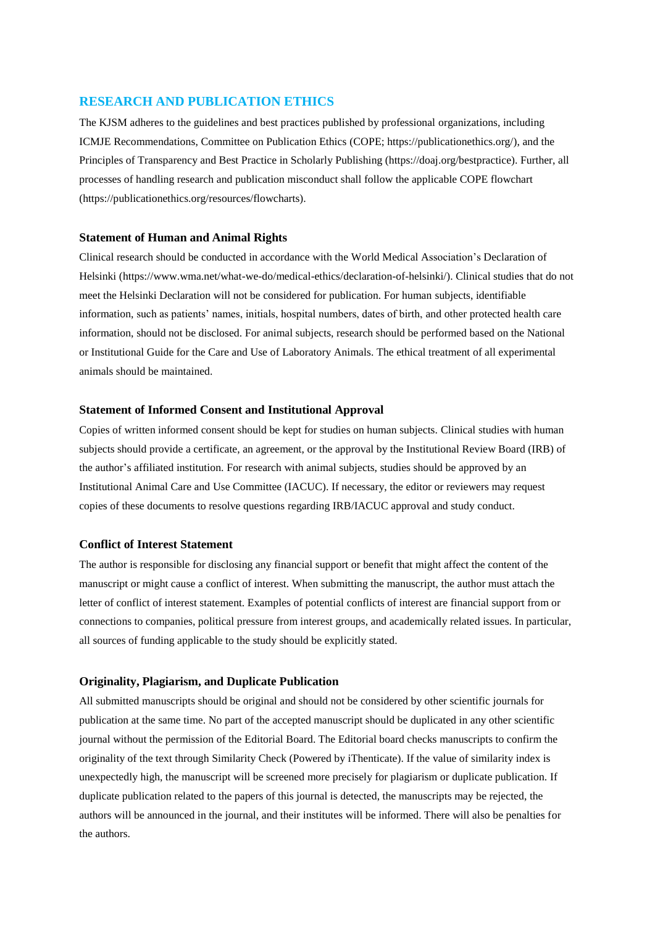## **RESEARCH AND PUBLICATION ETHICS**

The KJSM adheres to the guidelines and best practices published by professional organizations, including ICMJE Recommendations, Committee on Publication Ethics (COPE; https://publicationethics.org/), and the Principles of Transparency and Best Practice in Scholarly Publishing (https://doaj.org/bestpractice). Further, all processes of handling research and publication misconduct shall follow the applicable COPE flowchart (https://publicationethics.org/resources/flowcharts).

## **Statement of Human and Animal Rights**

Clinical research should be conducted in accordance with the World Medical Association's Declaration of Helsinki (https://www.wma.net/what-we-do/medical-ethics/declaration-of-helsinki/). Clinical studies that do not meet the Helsinki Declaration will not be considered for publication. For human subjects, identifiable information, such as patients' names, initials, hospital numbers, dates of birth, and other protected health care information, should not be disclosed. For animal subjects, research should be performed based on the National or Institutional Guide for the Care and Use of Laboratory Animals. The ethical treatment of all experimental animals should be maintained.

## **Statement of Informed Consent and Institutional Approval**

Copies of written informed consent should be kept for studies on human subjects. Clinical studies with human subjects should provide a certificate, an agreement, or the approval by the Institutional Review Board (IRB) of the author's affiliated institution. For research with animal subjects, studies should be approved by an Institutional Animal Care and Use Committee (IACUC). If necessary, the editor or reviewers may request copies of these documents to resolve questions regarding IRB/IACUC approval and study conduct.

## **Conflict of Interest Statement**

The author is responsible for disclosing any financial support or benefit that might affect the content of the manuscript or might cause a conflict of interest. When submitting the manuscript, the author must attach the letter of conflict of interest statement. Examples of potential conflicts of interest are financial support from or connections to companies, political pressure from interest groups, and academically related issues. In particular, all sources of funding applicable to the study should be explicitly stated.

## **Originality, Plagiarism, and Duplicate Publication**

All submitted manuscripts should be original and should not be considered by other scientific journals for publication at the same time. No part of the accepted manuscript should be duplicated in any other scientific journal without the permission of the Editorial Board. The Editorial board checks manuscripts to confirm the originality of the text through Similarity Check (Powered by iThenticate). If the value of similarity index is unexpectedly high, the manuscript will be screened more precisely for plagiarism or duplicate publication. If duplicate publication related to the papers of this journal is detected, the manuscripts may be rejected, the authors will be announced in the journal, and their institutes will be informed. There will also be penalties for the authors.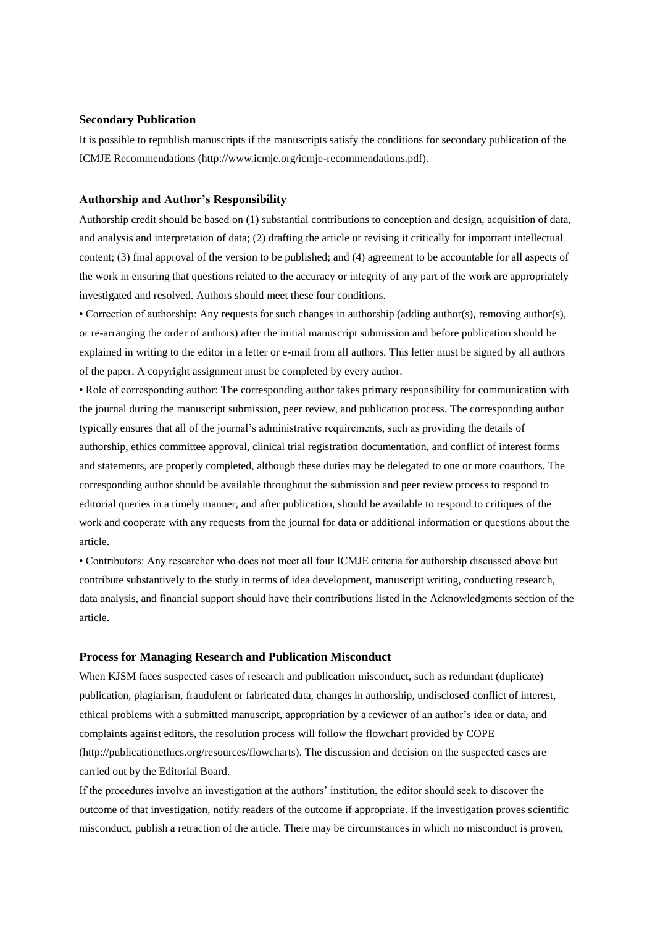## **Secondary Publication**

It is possible to republish manuscripts if the manuscripts satisfy the conditions for secondary publication of the ICMJE Recommendations (http://www.icmje.org/icmje-recommendations.pdf).

## **Authorship and Author's Responsibility**

Authorship credit should be based on (1) substantial contributions to conception and design, acquisition of data, and analysis and interpretation of data; (2) drafting the article or revising it critically for important intellectual content; (3) final approval of the version to be published; and (4) agreement to be accountable for all aspects of the work in ensuring that questions related to the accuracy or integrity of any part of the work are appropriately investigated and resolved. Authors should meet these four conditions.

• Correction of authorship: Any requests for such changes in authorship (adding author(s), removing author(s), or re-arranging the order of authors) after the initial manuscript submission and before publication should be explained in writing to the editor in a letter or e-mail from all authors. This letter must be signed by all authors of the paper. A copyright assignment must be completed by every author.

• Role of corresponding author: The corresponding author takes primary responsibility for communication with the journal during the manuscript submission, peer review, and publication process. The corresponding author typically ensures that all of the journal's administrative requirements, such as providing the details of authorship, ethics committee approval, clinical trial registration documentation, and conflict of interest forms and statements, are properly completed, although these duties may be delegated to one or more coauthors. The corresponding author should be available throughout the submission and peer review process to respond to editorial queries in a timely manner, and after publication, should be available to respond to critiques of the work and cooperate with any requests from the journal for data or additional information or questions about the article.

• Contributors: Any researcher who does not meet all four ICMJE criteria for authorship discussed above but contribute substantively to the study in terms of idea development, manuscript writing, conducting research, data analysis, and financial support should have their contributions listed in the Acknowledgments section of the article.

## **Process for Managing Research and Publication Misconduct**

When KJSM faces suspected cases of research and publication misconduct, such as redundant (duplicate) publication, plagiarism, fraudulent or fabricated data, changes in authorship, undisclosed conflict of interest, ethical problems with a submitted manuscript, appropriation by a reviewer of an author's idea or data, and complaints against editors, the resolution process will follow the flowchart provided by COPE (http://publicationethics.org/resources/flowcharts). The discussion and decision on the suspected cases are carried out by the Editorial Board.

If the procedures involve an investigation at the authors' institution, the editor should seek to discover the outcome of that investigation, notify readers of the outcome if appropriate. If the investigation proves scientific misconduct, publish a retraction of the article. There may be circumstances in which no misconduct is proven,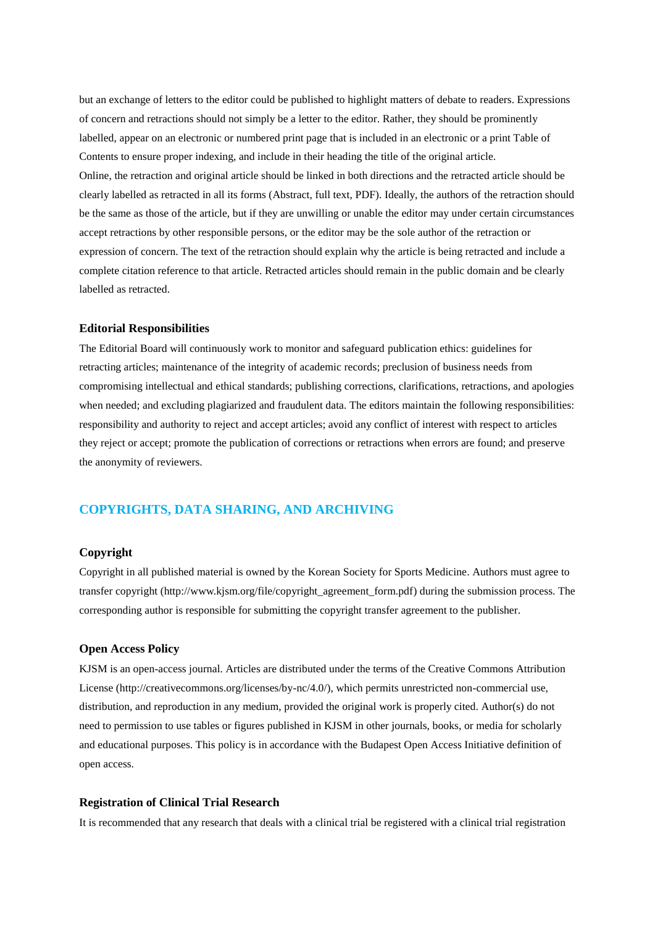but an exchange of letters to the editor could be published to highlight matters of debate to readers. Expressions of concern and retractions should not simply be a letter to the editor. Rather, they should be prominently labelled, appear on an electronic or numbered print page that is included in an electronic or a print Table of Contents to ensure proper indexing, and include in their heading the title of the original article. Online, the retraction and original article should be linked in both directions and the retracted article should be clearly labelled as retracted in all its forms (Abstract, full text, PDF). Ideally, the authors of the retraction should be the same as those of the article, but if they are unwilling or unable the editor may under certain circumstances accept retractions by other responsible persons, or the editor may be the sole author of the retraction or expression of concern. The text of the retraction should explain why the article is being retracted and include a complete citation reference to that article. Retracted articles should remain in the public domain and be clearly labelled as retracted.

## **Editorial Responsibilities**

The Editorial Board will continuously work to monitor and safeguard publication ethics: guidelines for retracting articles; maintenance of the integrity of academic records; preclusion of business needs from compromising intellectual and ethical standards; publishing corrections, clarifications, retractions, and apologies when needed; and excluding plagiarized and fraudulent data. The editors maintain the following responsibilities: responsibility and authority to reject and accept articles; avoid any conflict of interest with respect to articles they reject or accept; promote the publication of corrections or retractions when errors are found; and preserve the anonymity of reviewers.

## **COPYRIGHTS, DATA SHARING, AND ARCHIVING**

## **Copyright**

Copyright in all published material is owned by the Korean Society for Sports Medicine. Authors must agree to transfer copyright (http://www.kjsm.org/file/copyright\_agreement\_form.pdf) during the submission process. The corresponding author is responsible for submitting the copyright transfer agreement to the publisher.

## **Open Access Policy**

KJSM is an open-access journal. Articles are distributed under the terms of the Creative Commons Attribution License (http://creativecommons.org/licenses/by-nc/4.0/), which permits unrestricted non-commercial use, distribution, and reproduction in any medium, provided the original work is properly cited. Author(s) do not need to permission to use tables or figures published in KJSM in other journals, books, or media for scholarly and educational purposes. This policy is in accordance with the Budapest Open Access Initiative definition of open access.

## **Registration of Clinical Trial Research**

It is recommended that any research that deals with a clinical trial be registered with a clinical trial registration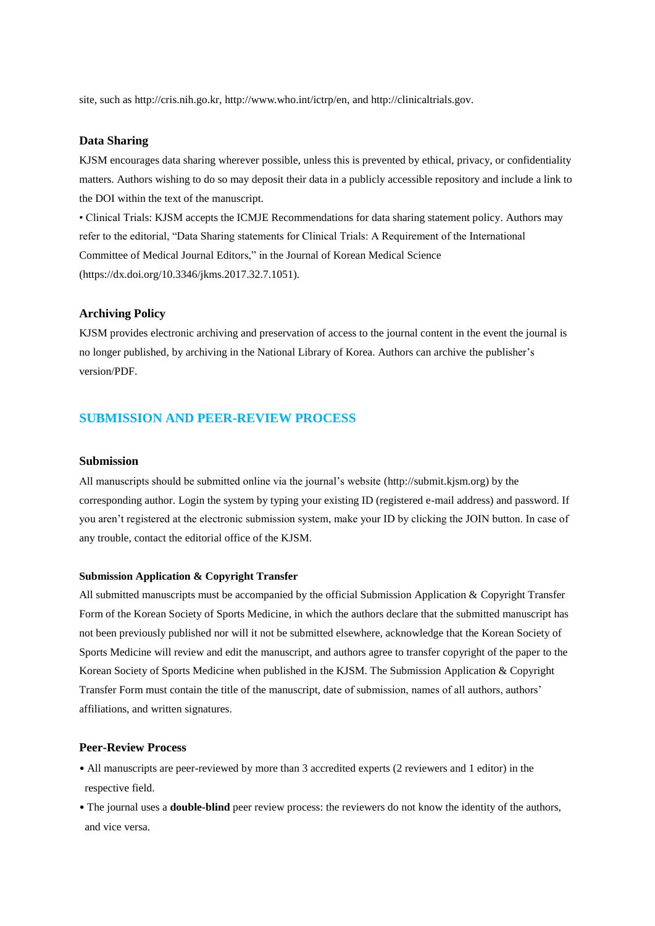site, such as http://cris.nih.go.kr, http://www.who.int/ictrp/en, and http://clinicaltrials.gov.

# **Data Sharing**

KJSM encourages data sharing wherever possible, unless this is prevented by ethical, privacy, or confidentiality matters. Authors wishing to do so may deposit their data in a publicly accessible repository and include a link to the DOI within the text of the manuscript.

• Clinical Trials: KJSM accepts the ICMJE Recommendations for data sharing statement policy. Authors may refer to the editorial, "Data Sharing statements for Clinical Trials: A Requirement of the International Committee of Medical Journal Editors," in the Journal of Korean Medical Science (https://dx.doi.org/10.3346/jkms.2017.32.7.1051).

## **Archiving Policy**

KJSM provides electronic archiving and preservation of access to the journal content in the event the journal is no longer published, by archiving in the National Library of Korea. Authors can archive the publisher's version/PDF.

# **SUBMISSION AND PEER-REVIEW PROCESS**

#### **Submission**

All manuscripts should be submitted online via the journal's website (http://submit.kjsm.org) by the corresponding author. Login the system by typing your existing ID (registered e-mail address) and password. If you aren't registered at the electronic submission system, make your ID by clicking the JOIN button. In case of any trouble, contact the editorial office of the KJSM.

#### **Submission Application & Copyright Transfer**

All submitted manuscripts must be accompanied by the official Submission Application & Copyright Transfer Form of the Korean Society of Sports Medicine, in which the authors declare that the submitted manuscript has not been previously published nor will it not be submitted elsewhere, acknowledge that the Korean Society of Sports Medicine will review and edit the manuscript, and authors agree to transfer copyright of the paper to the Korean Society of Sports Medicine when published in the KJSM. The Submission Application & Copyright Transfer Form must contain the title of the manuscript, date of submission, names of all authors, authors' affiliations, and written signatures.

## **Peer-Review Process**

- All manuscripts are peer-reviewed by more than 3 accredited experts (2 reviewers and 1 editor) in the respective field.
- The journal uses a **double-blind** peer review process: the reviewers do not know the identity of the authors, and vice versa.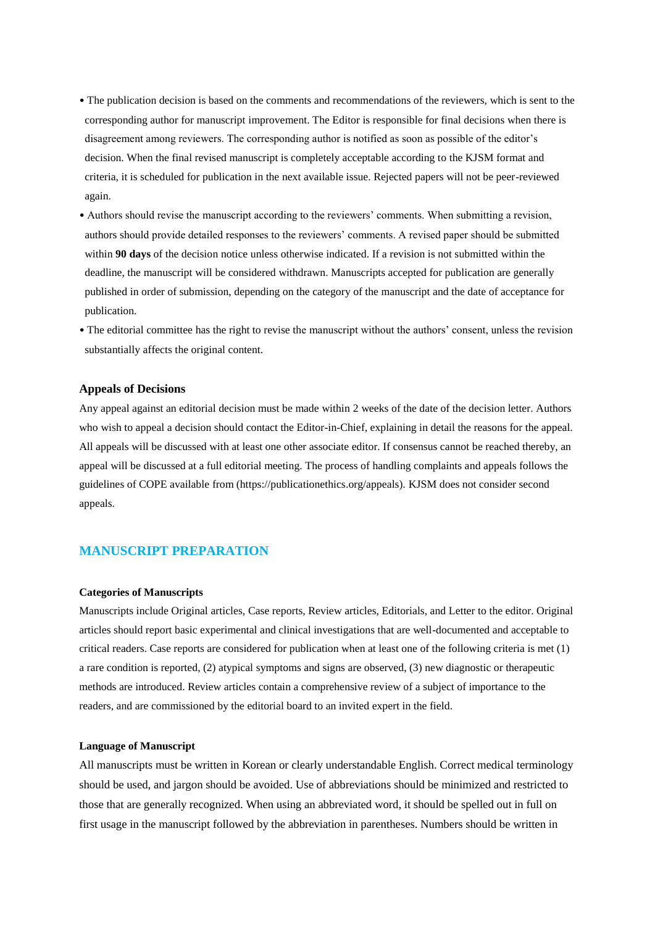- The publication decision is based on the comments and recommendations of the reviewers, which is sent to the corresponding author for manuscript improvement. The Editor is responsible for final decisions when there is disagreement among reviewers. The corresponding author is notified as soon as possible of the editor's decision. When the final revised manuscript is completely acceptable according to the KJSM format and criteria, it is scheduled for publication in the next available issue. Rejected papers will not be peer-reviewed again.
- Authors should revise the manuscript according to the reviewers' comments. When submitting a revision, authors should provide detailed responses to the reviewers' comments. A revised paper should be submitted within **90 days** of the decision notice unless otherwise indicated. If a revision is not submitted within the deadline, the manuscript will be considered withdrawn. Manuscripts accepted for publication are generally published in order of submission, depending on the category of the manuscript and the date of acceptance for publication.
- The editorial committee has the right to revise the manuscript without the authors' consent, unless the revision substantially affects the original content.

#### **Appeals of Decisions**

Any appeal against an editorial decision must be made within 2 weeks of the date of the decision letter. Authors who wish to appeal a decision should contact the Editor-in-Chief, explaining in detail the reasons for the appeal. All appeals will be discussed with at least one other associate editor. If consensus cannot be reached thereby, an appeal will be discussed at a full editorial meeting. The process of handling complaints and appeals follows the guidelines of COPE available from (https://publicationethics.org/appeals). KJSM does not consider second appeals.

# **MANUSCRIPT PREPARATION**

#### **Categories of Manuscripts**

Manuscripts include Original articles, Case reports, Review articles, Editorials, and Letter to the editor. Original articles should report basic experimental and clinical investigations that are well-documented and acceptable to critical readers. Case reports are considered for publication when at least one of the following criteria is met (1) a rare condition is reported, (2) atypical symptoms and signs are observed, (3) new diagnostic or therapeutic methods are introduced. Review articles contain a comprehensive review of a subject of importance to the readers, and are commissioned by the editorial board to an invited expert in the field.

#### **Language of Manuscript**

All manuscripts must be written in Korean or clearly understandable English. Correct medical terminology should be used, and jargon should be avoided. Use of abbreviations should be minimized and restricted to those that are generally recognized. When using an abbreviated word, it should be spelled out in full on first usage in the manuscript followed by the abbreviation in parentheses. Numbers should be written in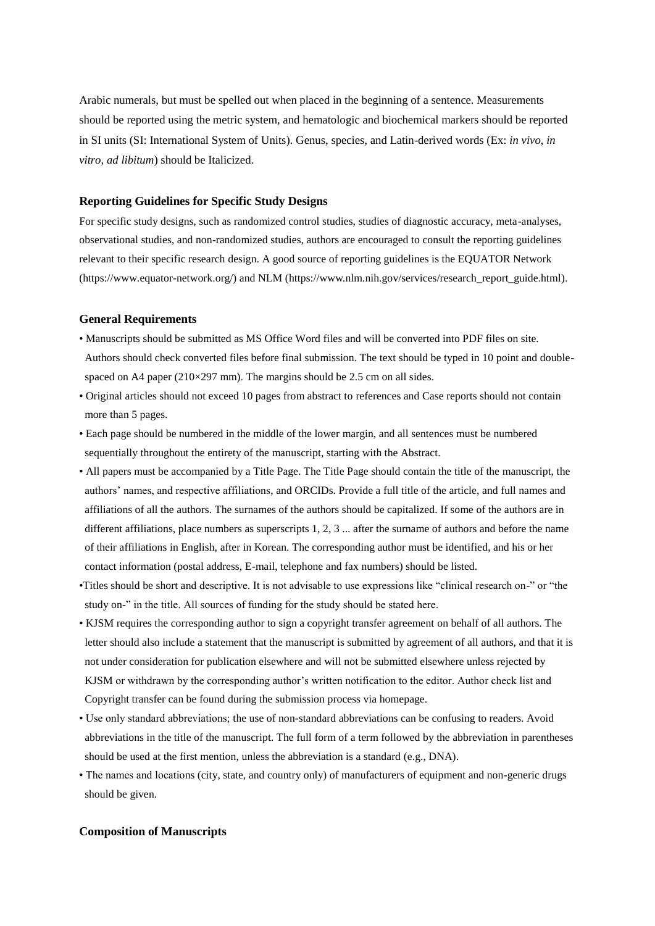Arabic numerals, but must be spelled out when placed in the beginning of a sentence. Measurements should be reported using the metric system, and hematologic and biochemical markers should be reported in SI units (SI: International System of Units). Genus, species, and Latin-derived words (Ex: *in vivo*, *in vitro*, *ad libitum*) should be Italicized.

## **Reporting Guidelines for Specific Study Designs**

For specific study designs, such as randomized control studies, studies of diagnostic accuracy, meta-analyses, observational studies, and non-randomized studies, authors are encouraged to consult the reporting guidelines relevant to their specific research design. A good source of reporting guidelines is the EQUATOR Network (https://www.equator-network.org/) and NLM (https://www.nlm.nih.gov/services/research\_report\_guide.html).

## **General Requirements**

- Manuscripts should be submitted as MS Office Word files and will be converted into PDF files on site. Authors should check converted files before final submission. The text should be typed in 10 point and doublespaced on A4 paper (210×297 mm). The margins should be 2.5 cm on all sides.
- Original articles should not exceed 10 pages from abstract to references and Case reports should not contain more than 5 pages.
- Each page should be numbered in the middle of the lower margin, and all sentences must be numbered sequentially throughout the entirety of the manuscript, starting with the Abstract.
- All papers must be accompanied by a Title Page. The Title Page should contain the title of the manuscript, the authors' names, and respective affiliations, and ORCIDs. Provide a full title of the article, and full names and affiliations of all the authors. The surnames of the authors should be capitalized. If some of the authors are in different affiliations, place numbers as superscripts 1, 2, 3 ... after the surname of authors and before the name of their affiliations in English, after in Korean. The corresponding author must be identified, and his or her contact information (postal address, E-mail, telephone and fax numbers) should be listed.
- •Titles should be short and descriptive. It is not advisable to use expressions like "clinical research on-" or "the study on-" in the title. All sources of funding for the study should be stated here.
- KJSM requires the corresponding author to sign a copyright transfer agreement on behalf of all authors. The letter should also include a statement that the manuscript is submitted by agreement of all authors, and that it is not under consideration for publication elsewhere and will not be submitted elsewhere unless rejected by KJSM or withdrawn by the corresponding author's written notification to the editor. Author check list and Copyright transfer can be found during the submission process via homepage.
- Use only standard abbreviations; the use of non-standard abbreviations can be confusing to readers. Avoid abbreviations in the title of the manuscript. The full form of a term followed by the abbreviation in parentheses should be used at the first mention, unless the abbreviation is a standard (e.g., DNA).
- The names and locations (city, state, and country only) of manufacturers of equipment and non-generic drugs should be given.

## **Composition of Manuscripts**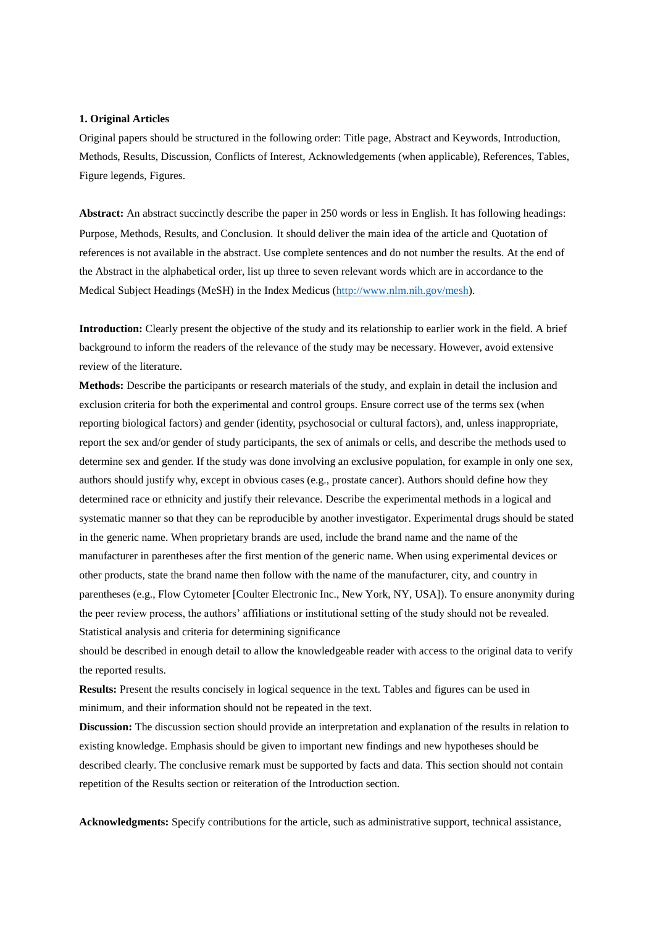#### **1. Original Articles**

Original papers should be structured in the following order: Title page, Abstract and Keywords, Introduction, Methods, Results, Discussion, Conflicts of Interest, Acknowledgements (when applicable), References, Tables, Figure legends, Figures.

**Abstract:** An abstract succinctly describe the paper in 250 words or less in English. It has following headings: Purpose, Methods, Results, and Conclusion. It should deliver the main idea of the article and Quotation of references is not available in the abstract. Use complete sentences and do not number the results. At the end of the Abstract in the alphabetical order, list up three to seven relevant words which are in accordance to the Medical Subject Headings (MeSH) in the Index Medicus [\(http://www.nlm.nih.gov/mesh\)](http://www.nlm.nih.gov/mesh).

**Introduction:** Clearly present the objective of the study and its relationship to earlier work in the field. A brief background to inform the readers of the relevance of the study may be necessary. However, avoid extensive review of the literature.

**Methods:** Describe the participants or research materials of the study, and explain in detail the inclusion and exclusion criteria for both the experimental and control groups. Ensure correct use of the terms sex (when reporting biological factors) and gender (identity, psychosocial or cultural factors), and, unless inappropriate, report the sex and/or gender of study participants, the sex of animals or cells, and describe the methods used to determine sex and gender. If the study was done involving an exclusive population, for example in only one sex, authors should justify why, except in obvious cases (e.g., prostate cancer). Authors should define how they determined race or ethnicity and justify their relevance. Describe the experimental methods in a logical and systematic manner so that they can be reproducible by another investigator. Experimental drugs should be stated in the generic name. When proprietary brands are used, include the brand name and the name of the manufacturer in parentheses after the first mention of the generic name. When using experimental devices or other products, state the brand name then follow with the name of the manufacturer, city, and country in parentheses (e.g., Flow Cytometer [Coulter Electronic Inc., New York, NY, USA]). To ensure anonymity during the peer review process, the authors' affiliations or institutional setting of the study should not be revealed. Statistical analysis and criteria for determining significance

should be described in enough detail to allow the knowledgeable reader with access to the original data to verify the reported results.

**Results:** Present the results concisely in logical sequence in the text. Tables and figures can be used in minimum, and their information should not be repeated in the text.

**Discussion:** The discussion section should provide an interpretation and explanation of the results in relation to existing knowledge. Emphasis should be given to important new findings and new hypotheses should be described clearly. The conclusive remark must be supported by facts and data. This section should not contain repetition of the Results section or reiteration of the Introduction section.

**Acknowledgments:** Specify contributions for the article, such as administrative support, technical assistance,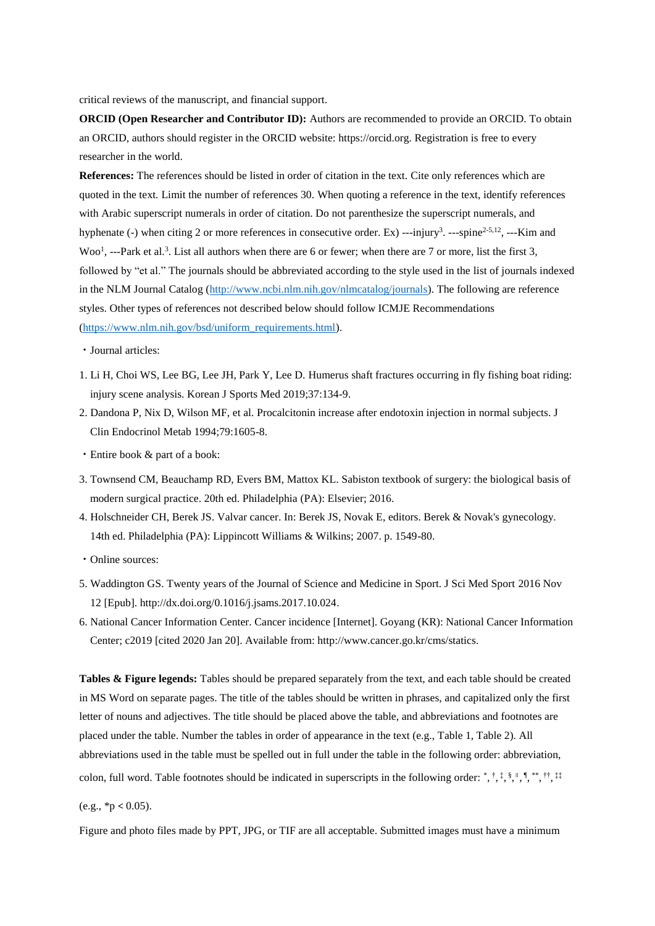critical reviews of the manuscript, and financial support.

**ORCID (Open Researcher and Contributor ID):** Authors are recommended to provide an ORCID. To obtain an ORCID, authors should register in the ORCID website: https://orcid.org. Registration is free to every researcher in the world.

**References:** The references should be listed in order of citation in the text. Cite only references which are quoted in the text. Limit the number of references 30. When quoting a reference in the text, identify references with Arabic superscript numerals in order of citation. Do not parenthesize the superscript numerals, and hyphenate (-) when citing 2 or more references in consecutive order. Ex) ---injury<sup>3</sup>. ---spine<sup>2-5,12</sup>, ---Kim and Woo<sup>1</sup>, ---Park et al.<sup>3</sup>. List all authors when there are 6 or fewer; when there are 7 or more, list the first 3, followed by "et al." The journals should be abbreviated according to the style used in the list of journals indexed in the NLM Journal Catalog [\(http://www.ncbi.nlm.nih.gov/nlmcatalog/journals\)](http://www.ncbi.nlm.nih.gov/nlmcatalog/journals). The following are reference styles. Other types of references not described below should follow ICMJE Recommendations [\(https://www.nlm.nih.gov/bsd/uniform\\_requirements.html\)](https://www.nlm.nih.gov/bsd/uniform_requirements.html).

- ㆍJournal articles:
- 1. Li H, Choi WS, Lee BG, Lee JH, Park Y, Lee D. Humerus shaft fractures occurring in fly fishing boat riding: injury scene analysis. Korean J Sports Med 2019;37:134-9.
- 2. Dandona P, Nix D, Wilson MF, et al. Procalcitonin increase after endotoxin injection in normal subjects. J Clin Endocrinol Metab 1994;79:1605-8.
- Entire book & part of a book:
- 3. Townsend CM, Beauchamp RD, Evers BM, Mattox KL. Sabiston textbook of surgery: the biological basis of modern surgical practice. 20th ed. Philadelphia (PA): Elsevier; 2016.
- 4. Holschneider CH, Berek JS. Valvar cancer. In: Berek JS, Novak E, editors. Berek & Novak's gynecology. 14th ed. Philadelphia (PA): Lippincott Williams & Wilkins; 2007. p. 1549-80.
- Online sources:
- 5. Waddington GS. Twenty years of the Journal of Science and Medicine in Sport. J Sci Med Sport 2016 Nov 12 [Epub]. http://dx.doi.org/0.1016/j.jsams.2017.10.024.
- 6. National Cancer Information Center. Cancer incidence [Internet]. Goyang (KR): National Cancer Information Center; c2019 [cited 2020 Jan 20]. Available from: http://www.cancer.go.kr/cms/statics.

**Tables & Figure legends:** Tables should be prepared separately from the text, and each table should be created in MS Word on separate pages. The title of the tables should be written in phrases, and capitalized only the first letter of nouns and adjectives. The title should be placed above the table, and abbreviations and footnotes are placed under the table. Number the tables in order of appearance in the text (e.g., Table 1, Table 2). All abbreviations used in the table must be spelled out in full under the table in the following order: abbreviation, colon, full word. Table footnotes should be indicated in superscripts in the following order: \*, †, ‡, \$, ", ", \*\*, ††, ##

```
(e.g., *p < 0.05).
```
Figure and photo files made by PPT, JPG, or TIF are all acceptable. Submitted images must have a minimum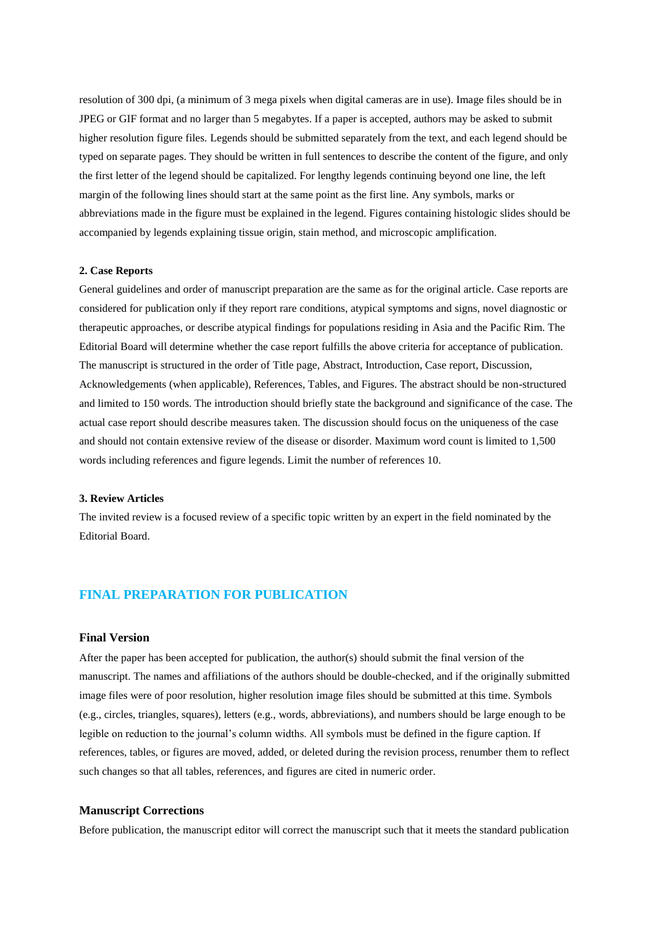resolution of 300 dpi, (a minimum of 3 mega pixels when digital cameras are in use). Image files should be in JPEG or GIF format and no larger than 5 megabytes. If a paper is accepted, authors may be asked to submit higher resolution figure files. Legends should be submitted separately from the text, and each legend should be typed on separate pages. They should be written in full sentences to describe the content of the figure, and only the first letter of the legend should be capitalized. For lengthy legends continuing beyond one line, the left margin of the following lines should start at the same point as the first line. Any symbols, marks or abbreviations made in the figure must be explained in the legend. Figures containing histologic slides should be accompanied by legends explaining tissue origin, stain method, and microscopic amplification.

## **2. Case Reports**

General guidelines and order of manuscript preparation are the same as for the original article. Case reports are considered for publication only if they report rare conditions, atypical symptoms and signs, novel diagnostic or therapeutic approaches, or describe atypical findings for populations residing in Asia and the Pacific Rim. The Editorial Board will determine whether the case report fulfills the above criteria for acceptance of publication. The manuscript is structured in the order of Title page, Abstract, Introduction, Case report, Discussion, Acknowledgements (when applicable), References, Tables, and Figures. The abstract should be non-structured and limited to 150 words. The introduction should briefly state the background and significance of the case. The actual case report should describe measures taken. The discussion should focus on the uniqueness of the case and should not contain extensive review of the disease or disorder. Maximum word count is limited to 1,500 words including references and figure legends. Limit the number of references 10.

## **3. Review Articles**

The invited review is a focused review of a specific topic written by an expert in the field nominated by the Editorial Board.

# **FINAL PREPARATION FOR PUBLICATION**

## **Final Version**

After the paper has been accepted for publication, the author(s) should submit the final version of the manuscript. The names and affiliations of the authors should be double-checked, and if the originally submitted image files were of poor resolution, higher resolution image files should be submitted at this time. Symbols (e.g., circles, triangles, squares), letters (e.g., words, abbreviations), and numbers should be large enough to be legible on reduction to the journal's column widths. All symbols must be defined in the figure caption. If references, tables, or figures are moved, added, or deleted during the revision process, renumber them to reflect such changes so that all tables, references, and figures are cited in numeric order.

#### **Manuscript Corrections**

Before publication, the manuscript editor will correct the manuscript such that it meets the standard publication